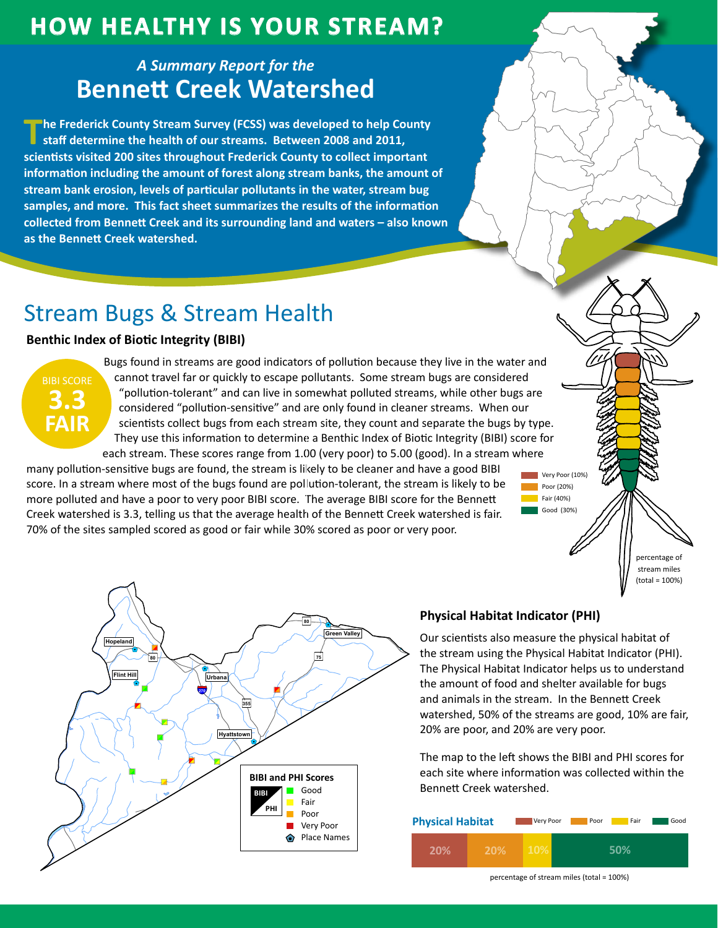## **How HealtHy is Your Stream?**

### *A Summary Report for the* **Bennett Creek Watershed**

**The Frederick County Stream Survey (FCSS) was developed to help County staff determine the health of our streams. Between 2008 and 2011, scientists visited 200 sites throughout Frederick County to collect important information including the amount of forest along stream banks, the amount of stream bank erosion, levels of particular pollutants in the water, stream bug samples, and more. This fact sheet summarizes the results of the information collected from Bennett Creek and its surrounding land and waters – also known as the Bennett Creek watershed.**

# Stream Bugs & Stream Health

### **Benthic Index of Biotic Integrity (BIBI)**

BIBI SCORE **3.3 FAIR**

Bugs found in streams are good indicators of pollution because they live in the water and cannot travel far or quickly to escape pollutants. Some stream bugs are considered "pollution-tolerant" and can live in somewhat polluted streams, while other bugs are considered "pollution-sensitive" and are only found in cleaner streams. When our scientists collect bugs from each stream site, they count and separate the bugs by type. They use this information to determine a Benthic Index of Biotic Integrity (BIBI) score for each stream. These scores range from 1.00 (very poor) to 5.00 (good). In a stream where

many pollution-sensitive bugs are found, the stream is likely to be cleaner and have a good BIBI score. In a stream where most of the bugs found are pollution-tolerant, the stream is likely to be more polluted and have a poor to very poor BIBI score. The average BIBI score for the Bennett Creek watershed is 3.3, telling us that the average health of the Bennett Creek watershed is fair. 70% of the sites sampled scored as good or fair while 30% scored as poor or very poor.



#### **Physical Habitat Indicator (PHI)**

Our scientists also measure the physical habitat of the stream using the Physical Habitat Indicator (PHI). The Physical Habitat Indicator helps us to understand the amount of food and shelter available for bugs and animals in the stream. In the Bennett Creek watershed, 50% of the streams are good, 10% are fair, 20% are poor, and 20% are very poor.

Very Poor (10%) Poor (20%) Fair (40%) Good (30%)

> percentage of stream miles (total = 100%)

The map to the left shows the BIBI and PHI scores for each site where information was collected within the Bennett Creek watershed.

| <b>Physical Habitat</b> |            | Very Poor  | Poor | Fair | Good |
|-------------------------|------------|------------|------|------|------|
| 20%                     | <b>20%</b> | <b>10%</b> |      | 50%  |      |

percentage of stream miles (total = 100%)